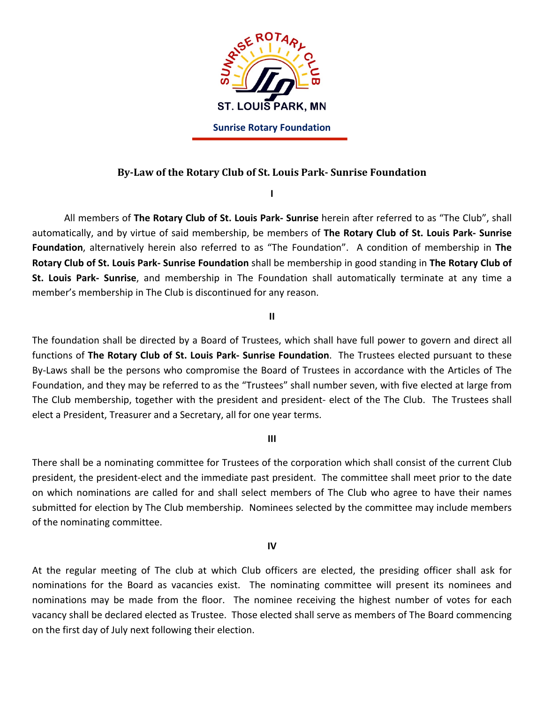

# **By-Law of the Rotary Club of St. Louis Park- Sunrise Foundation**

**I**

All members of The Rotary Club of St. Louis Park- Sunrise herein after referred to as "The Club", shall automatically, and by virtue of said membership, be members of The Rotary Club of St. Louis Park- Sunrise **Foundation**, alternatively herein also referred to as "The Foundation". A condition of membership in The **Rotary Club of St. Louis Park- Sunrise Foundation** shall be membership in good standing in The Rotary Club of **St. Louis Park- Sunrise**, and membership in The Foundation shall automatically terminate at any time a member's membership in The Club is discontinued for any reason.

#### **II**

The foundation shall be directed by a Board of Trustees, which shall have full power to govern and direct all functions of The Rotary Club of St. Louis Park- Sunrise Foundation. The Trustees elected pursuant to these By-Laws shall be the persons who compromise the Board of Trustees in accordance with the Articles of The Foundation, and they may be referred to as the "Trustees" shall number seven, with five elected at large from The Club membership, together with the president and president- elect of the The Club. The Trustees shall elect a President, Treasurer and a Secretary, all for one year terms.

## **III**

There shall be a nominating committee for Trustees of the corporation which shall consist of the current Club president, the president-elect and the immediate past president. The committee shall meet prior to the date on which nominations are called for and shall select members of The Club who agree to have their names submitted for election by The Club membership. Nominees selected by the committee may include members of the nominating committee.

## **IV**

At the regular meeting of The club at which Club officers are elected, the presiding officer shall ask for nominations for the Board as vacancies exist. The nominating committee will present its nominees and nominations may be made from the floor. The nominee receiving the highest number of votes for each vacancy shall be declared elected as Trustee. Those elected shall serve as members of The Board commencing on the first day of July next following their election.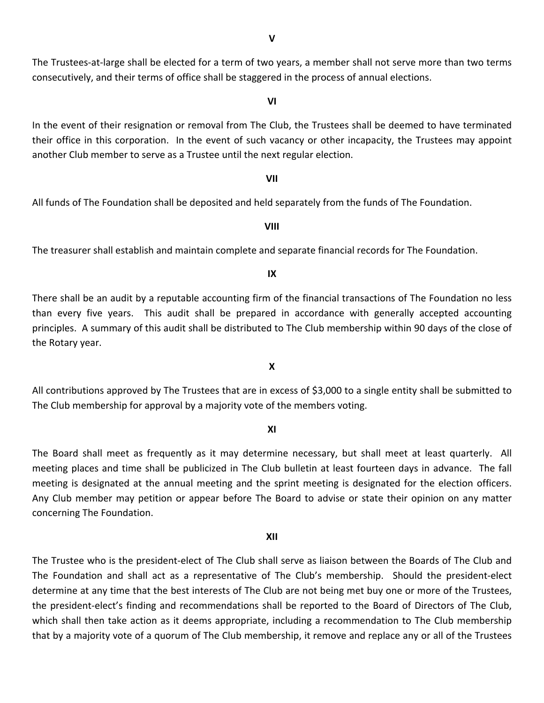The Trustees-at-large shall be elected for a term of two years, a member shall not serve more than two terms consecutively, and their terms of office shall be staggered in the process of annual elections.

**VI**

In the event of their resignation or removal from The Club, the Trustees shall be deemed to have terminated their office in this corporation. In the event of such vacancy or other incapacity, the Trustees may appoint another Club member to serve as a Trustee until the next regular election.

#### **VII**

All funds of The Foundation shall be deposited and held separately from the funds of The Foundation.

## **VIII**

The treasurer shall establish and maintain complete and separate financial records for The Foundation.

#### **IX**

There shall be an audit by a reputable accounting firm of the financial transactions of The Foundation no less than every five years. This audit shall be prepared in accordance with generally accepted accounting principles. A summary of this audit shall be distributed to The Club membership within 90 days of the close of the Rotary year.

All contributions approved by The Trustees that are in excess of \$3,000 to a single entity shall be submitted to The Club membership for approval by a majority vote of the members voting.

## **XI**

The Board shall meet as frequently as it may determine necessary, but shall meet at least quarterly. All meeting places and time shall be publicized in The Club bulletin at least fourteen days in advance. The fall meeting is designated at the annual meeting and the sprint meeting is designated for the election officers. Any Club member may petition or appear before The Board to advise or state their opinion on any matter concerning The Foundation.

## **XII**

The Trustee who is the president-elect of The Club shall serve as liaison between the Boards of The Club and The Foundation and shall act as a representative of The Club's membership. Should the president-elect determine at any time that the best interests of The Club are not being met buy one or more of the Trustees, the president-elect's finding and recommendations shall be reported to the Board of Directors of The Club, which shall then take action as it deems appropriate, including a recommendation to The Club membership that by a majority vote of a quorum of The Club membership, it remove and replace any or all of the Trustees

# **X**